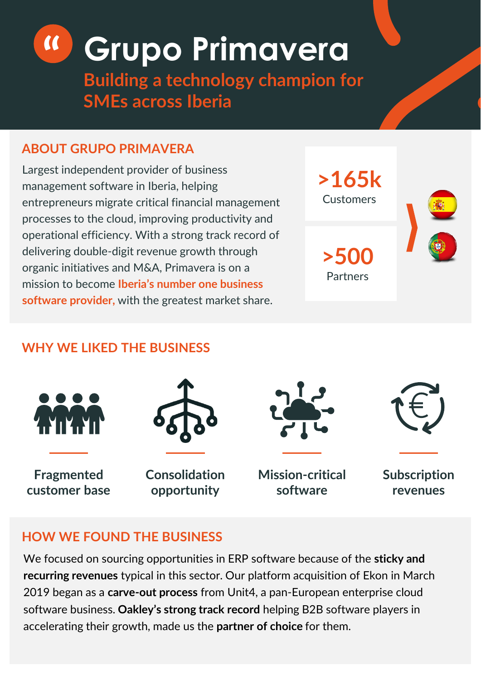# **" Grupo Primavera**

**Building a technology champion for SMEs across Iberia**

## **ABOUT GRUPO PRIMAVERA**

Largest independent provider of business management software in Iberia, helping entrepreneurs migrate critical financial management processes to the cloud, improving productivity and operational efficiency. With a strong track record of delivering double-digit revenue growth through organic initiatives and M&A, Primavera is on a mission to become **Iberia's number one business software provider,** with the greatest market share.



# **WHY WE LIKED THE BUSINESS**



**Fragmented customer base**



**Consolidation opportunity**



**Mission-critical software**

**Subscription revenues**

#### **HOW WE FOUND THE BUSINESS**

We focused on sourcing opportunities in ERP software because of the **sticky and recurring revenues** typical in this sector. Our platform acquisition of Ekon in March 2019 began as a **carve-out process** from Unit4, a pan-European enterprise cloud software business. **Oakley's strong track record** helping B2B software players in accelerating their growth, made us the **partner of choice** for them.